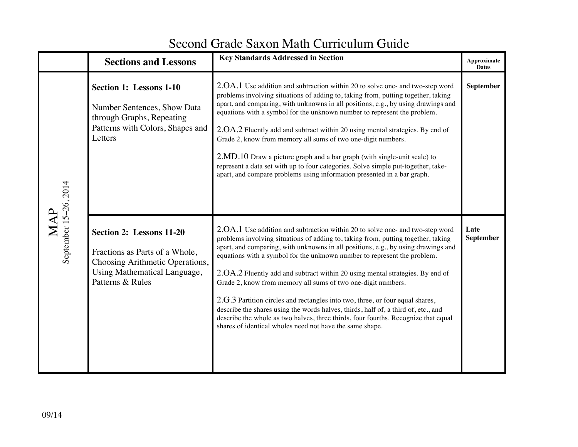## Second Grade Saxon Math Curriculum Guide

|                              | <b>Sections and Lessons</b>                                                                                                                       | <b>Key Standards Addressed in Section</b>                                                                                                                                                                                                                                                                                                                                                                                                                                                                                                                                                                                                                                                                                                                                                                     | Approximate<br><b>Dates</b> |
|------------------------------|---------------------------------------------------------------------------------------------------------------------------------------------------|---------------------------------------------------------------------------------------------------------------------------------------------------------------------------------------------------------------------------------------------------------------------------------------------------------------------------------------------------------------------------------------------------------------------------------------------------------------------------------------------------------------------------------------------------------------------------------------------------------------------------------------------------------------------------------------------------------------------------------------------------------------------------------------------------------------|-----------------------------|
| September 15-26, 2014<br>MAP | <b>Section 1: Lessons 1-10</b><br>Number Sentences, Show Data<br>through Graphs, Repeating<br>Patterns with Colors, Shapes and<br>Letters         | 2.OA.1 Use addition and subtraction within 20 to solve one- and two-step word<br>problems involving situations of adding to, taking from, putting together, taking<br>apart, and comparing, with unknowns in all positions, e.g., by using drawings and<br>equations with a symbol for the unknown number to represent the problem.<br>2.OA.2 Fluently add and subtract within 20 using mental strategies. By end of<br>Grade 2, know from memory all sums of two one-digit numbers.<br>2.MD.10 Draw a picture graph and a bar graph (with single-unit scale) to<br>represent a data set with up to four categories. Solve simple put-together, take-<br>apart, and compare problems using information presented in a bar graph.                                                                              | <b>September</b>            |
|                              | Section 2: Lessons 11-20<br>Fractions as Parts of a Whole,<br>Choosing Arithmetic Operations,<br>Using Mathematical Language,<br>Patterns & Rules | 2.OA.1 Use addition and subtraction within 20 to solve one- and two-step word<br>problems involving situations of adding to, taking from, putting together, taking<br>apart, and comparing, with unknowns in all positions, e.g., by using drawings and<br>equations with a symbol for the unknown number to represent the problem.<br>2.OA.2 Fluently add and subtract within 20 using mental strategies. By end of<br>Grade 2, know from memory all sums of two one-digit numbers.<br>2.G.3 Partition circles and rectangles into two, three, or four equal shares,<br>describe the shares using the words halves, thirds, half of, a third of, etc., and<br>describe the whole as two halves, three thirds, four fourths. Recognize that equal<br>shares of identical wholes need not have the same shape. | Late<br>September           |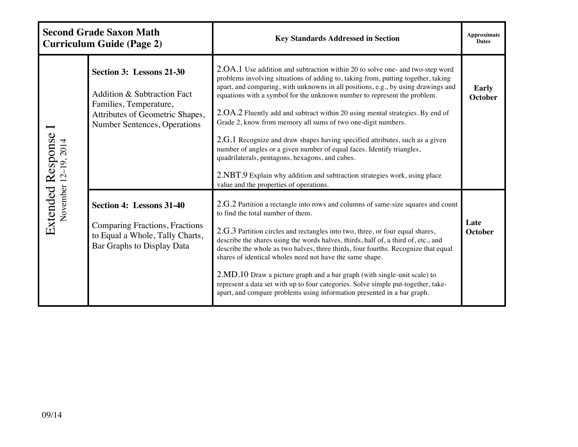| <b>Second Grade Saxon Math</b><br><b>Curriculum Guide (Page 2)</b> |                                                                                                                                                      | <b>Key Standards Addressed in Section</b>                                                                                                                                                                                                                                                                                                                                                                                                                                                                                                                                                                                                                                                  | Approximate<br><b>Dates</b> |
|--------------------------------------------------------------------|------------------------------------------------------------------------------------------------------------------------------------------------------|--------------------------------------------------------------------------------------------------------------------------------------------------------------------------------------------------------------------------------------------------------------------------------------------------------------------------------------------------------------------------------------------------------------------------------------------------------------------------------------------------------------------------------------------------------------------------------------------------------------------------------------------------------------------------------------------|-----------------------------|
| Extended Response<br>November 12-19, 2014                          | Section 3: Lessons 21-30<br>Addition & Subtraction Fact<br>Families, Temperature,<br>Attributes of Geometric Shapes,<br>Number Sentences, Operations | 2.OA.1 Use addition and subtraction within 20 to solve one- and two-step word<br>problems involving situations of adding to, taking from, putting together, taking<br>apart, and comparing, with unknowns in all positions, e.g., by using drawings and<br>equations with a symbol for the unknown number to represent the problem.<br>2.OA.2 Fluently add and subtract within 20 using mental strategies. By end of<br>Grade 2, know from memory all sums of two one-digit numbers.<br>2.G.1 Recognize and draw shapes having specified attributes, such as a given                                                                                                                       | Early<br><b>October</b>     |
|                                                                    |                                                                                                                                                      | number of angles or a given number of equal faces. Identify triangles,<br>quadrilaterals, pentagons, hexagons, and cubes.<br>2.NBT.9 Explain why addition and subtraction strategies work, using place<br>value and the properties of operations.                                                                                                                                                                                                                                                                                                                                                                                                                                          |                             |
|                                                                    | Section 4: Lessons 31-40<br>Comparing Fractions, Fractions<br>to Equal a Whole, Tally Charts,<br>Bar Graphs to Display Data                          | 2.G.2 Partition a rectangle into rows and columns of same-size squares and count<br>to find the total number of them.<br>2.G.3 Partition circles and rectangles into two, three, or four equal shares,<br>describe the shares using the words halves, thirds, half of, a third of, etc., and<br>describe the whole as two halves, three thirds, four fourths. Recognize that equal<br>shares of identical wholes need not have the same shape.<br>2.MD.10 Draw a picture graph and a bar graph (with single-unit scale) to<br>represent a data set with up to four categories. Solve simple put-together, take-<br>apart, and compare problems using information presented in a bar graph. | Late<br><b>October</b>      |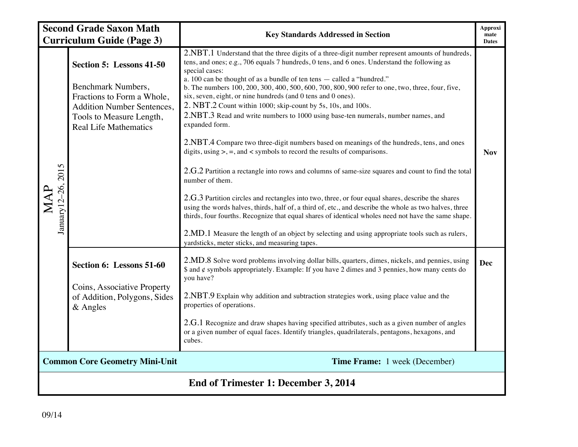| <b>Second Grade Saxon Math</b>       |                                                                                                                                                                               | <b>Key Standards Addressed in Section</b>                                                                                                                                                                                                                                                                                                                                                                                                                                                                                                                                                                                                                                                                                                                                                                                                                                                                                                                                                                                                                                                                                                                                                                                                                                                                                                                                                                             | <b>Approxi</b><br>mate |
|--------------------------------------|-------------------------------------------------------------------------------------------------------------------------------------------------------------------------------|-----------------------------------------------------------------------------------------------------------------------------------------------------------------------------------------------------------------------------------------------------------------------------------------------------------------------------------------------------------------------------------------------------------------------------------------------------------------------------------------------------------------------------------------------------------------------------------------------------------------------------------------------------------------------------------------------------------------------------------------------------------------------------------------------------------------------------------------------------------------------------------------------------------------------------------------------------------------------------------------------------------------------------------------------------------------------------------------------------------------------------------------------------------------------------------------------------------------------------------------------------------------------------------------------------------------------------------------------------------------------------------------------------------------------|------------------------|
|                                      | <b>Curriculum Guide (Page 3)</b>                                                                                                                                              |                                                                                                                                                                                                                                                                                                                                                                                                                                                                                                                                                                                                                                                                                                                                                                                                                                                                                                                                                                                                                                                                                                                                                                                                                                                                                                                                                                                                                       | <b>Dates</b>           |
| January 12-26, 2015<br>MAP           | Section 5: Lessons 41-50<br>Benchmark Numbers,<br>Fractions to Form a Whole,<br><b>Addition Number Sentences,</b><br>Tools to Measure Length,<br><b>Real Life Mathematics</b> | 2.NBT.1 Understand that the three digits of a three-digit number represent amounts of hundreds,<br>tens, and ones; e.g., 706 equals 7 hundreds, 0 tens, and 6 ones. Understand the following as<br>special cases:<br>a. 100 can be thought of as a bundle of ten tens - called a "hundred."<br>b. The numbers 100, 200, 300, 400, 500, 600, 700, 800, 900 refer to one, two, three, four, five,<br>six, seven, eight, or nine hundreds (and 0 tens and 0 ones).<br>2. NBT.2 Count within 1000; skip-count by 5s, 10s, and 100s.<br>2.NBT.3 Read and write numbers to 1000 using base-ten numerals, number names, and<br>expanded form.<br>2.NBT.4 Compare two three-digit numbers based on meanings of the hundreds, tens, and ones<br>digits, using $>$ , =, and < symbols to record the results of comparisons.<br>2.G.2 Partition a rectangle into rows and columns of same-size squares and count to find the total<br>number of them.<br>2.G.3 Partition circles and rectangles into two, three, or four equal shares, describe the shares<br>using the words halves, thirds, half of, a third of, etc., and describe the whole as two halves, three<br>thirds, four fourths. Recognize that equal shares of identical wholes need not have the same shape.<br>2.MD.1 Measure the length of an object by selecting and using appropriate tools such as rulers,<br>yardsticks, meter sticks, and measuring tapes. | <b>Nov</b>             |
|                                      | Section 6: Lessons 51-60<br>Coins, Associative Property<br>of Addition, Polygons, Sides<br>$&$ Angles                                                                         | 2.MD.8 Solve word problems involving dollar bills, quarters, dimes, nickels, and pennies, using<br>\$ and ¢ symbols appropriately. Example: If you have 2 dimes and 3 pennies, how many cents do<br>you have?<br>2.NBT.9 Explain why addition and subtraction strategies work, using place value and the<br>properties of operations.<br>2.G.1 Recognize and draw shapes having specified attributes, such as a given number of angles<br>or a given number of equal faces. Identify triangles, quadrilaterals, pentagons, hexagons, and<br>cubes.                                                                                                                                                                                                                                                                                                                                                                                                                                                                                                                                                                                                                                                                                                                                                                                                                                                                    | <b>Dec</b>             |
|                                      | <b>Common Core Geometry Mini-Unit</b>                                                                                                                                         | Time Frame: 1 week (December)                                                                                                                                                                                                                                                                                                                                                                                                                                                                                                                                                                                                                                                                                                                                                                                                                                                                                                                                                                                                                                                                                                                                                                                                                                                                                                                                                                                         |                        |
| End of Trimester 1: December 3, 2014 |                                                                                                                                                                               |                                                                                                                                                                                                                                                                                                                                                                                                                                                                                                                                                                                                                                                                                                                                                                                                                                                                                                                                                                                                                                                                                                                                                                                                                                                                                                                                                                                                                       |                        |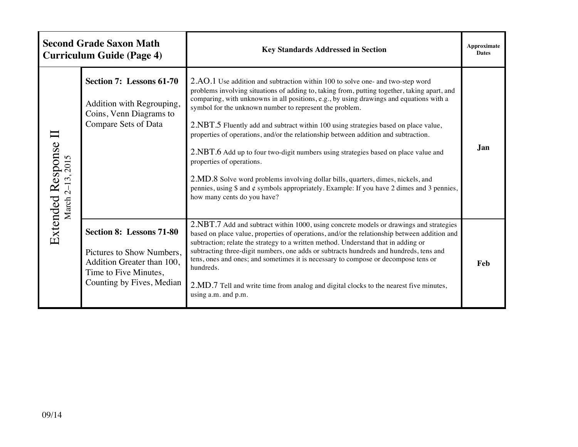|                                       | <b>Second Grade Saxon Math</b><br><b>Curriculum Guide (Page 4)</b>                                                                               | <b>Key Standards Addressed in Section</b>                                                                                                                                                                                                                                                                                                                                                                                                                                                                                                                                                                                                                                                                                                                                                                                                                    | Approximate<br><b>Dates</b> |
|---------------------------------------|--------------------------------------------------------------------------------------------------------------------------------------------------|--------------------------------------------------------------------------------------------------------------------------------------------------------------------------------------------------------------------------------------------------------------------------------------------------------------------------------------------------------------------------------------------------------------------------------------------------------------------------------------------------------------------------------------------------------------------------------------------------------------------------------------------------------------------------------------------------------------------------------------------------------------------------------------------------------------------------------------------------------------|-----------------------------|
| Extended Response<br>March 2-13, 2015 | Section 7: Lessons 61-70<br>Addition with Regrouping,<br>Coins, Venn Diagrams to<br>Compare Sets of Data                                         | 2.AO.1 Use addition and subtraction within 100 to solve one- and two-step word<br>problems involving situations of adding to, taking from, putting together, taking apart, and<br>comparing, with unknowns in all positions, e.g., by using drawings and equations with a<br>symbol for the unknown number to represent the problem.<br>2.NBT.5 Fluently add and subtract within 100 using strategies based on place value,<br>properties of operations, and/or the relationship between addition and subtraction.<br>2.NBT.6 Add up to four two-digit numbers using strategies based on place value and<br>properties of operations.<br>2.MD.8 Solve word problems involving dollar bills, quarters, dimes, nickels, and<br>pennies, using $\$ and $\phi$ symbols appropriately. Example: If you have 2 dimes and 3 pennies,<br>how many cents do you have? | Jan                         |
|                                       | <b>Section 8: Lessons 71-80</b><br>Pictures to Show Numbers,<br>Addition Greater than 100,<br>Time to Five Minutes,<br>Counting by Fives, Median | 2.NBT.7 Add and subtract within 1000, using concrete models or drawings and strategies<br>based on place value, properties of operations, and/or the relationship between addition and<br>subtraction; relate the strategy to a written method. Understand that in adding or<br>subtracting three-digit numbers, one adds or subtracts hundreds and hundreds, tens and<br>tens, ones and ones; and sometimes it is necessary to compose or decompose tens or<br>hundreds.<br>2.MD.7 Tell and write time from analog and digital clocks to the nearest five minutes,<br>using a.m. and p.m.                                                                                                                                                                                                                                                                   | Feb                         |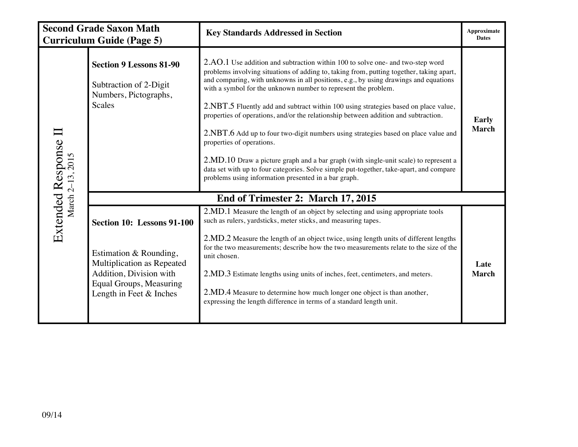|                   | <b>Second Grade Saxon Math</b><br><b>Curriculum Guide (Page 5)</b>                                                                                                  | <b>Key Standards Addressed in Section</b>                                                                                                                                                                                                                                                                                                                                                                                                                                                                                                                                                                                                                                                                                                                                                                                                                                        | Approximate<br><b>Dates</b>  |  |
|-------------------|---------------------------------------------------------------------------------------------------------------------------------------------------------------------|----------------------------------------------------------------------------------------------------------------------------------------------------------------------------------------------------------------------------------------------------------------------------------------------------------------------------------------------------------------------------------------------------------------------------------------------------------------------------------------------------------------------------------------------------------------------------------------------------------------------------------------------------------------------------------------------------------------------------------------------------------------------------------------------------------------------------------------------------------------------------------|------------------------------|--|
| Extended Response | <b>Section 9 Lessons 81-90</b><br>Subtraction of 2-Digit<br>Numbers, Pictographs,<br>Scales                                                                         | 2.AO.1 Use addition and subtraction within 100 to solve one- and two-step word<br>problems involving situations of adding to, taking from, putting together, taking apart,<br>and comparing, with unknowns in all positions, e.g., by using drawings and equations<br>with a symbol for the unknown number to represent the problem.<br>2.NBT.5 Fluently add and subtract within 100 using strategies based on place value,<br>properties of operations, and/or the relationship between addition and subtraction.<br>2.NBT.6 Add up to four two-digit numbers using strategies based on place value and<br>properties of operations.<br>2.MD.10 Draw a picture graph and a bar graph (with single-unit scale) to represent a<br>data set with up to four categories. Solve simple put-together, take-apart, and compare<br>problems using information presented in a bar graph. | <b>Early</b><br><b>March</b> |  |
|                   | End of Trimester 2: March 17, 2015                                                                                                                                  |                                                                                                                                                                                                                                                                                                                                                                                                                                                                                                                                                                                                                                                                                                                                                                                                                                                                                  |                              |  |
|                   | Section 10: Lessons 91-100<br>Estimation & Rounding,<br>Multiplication as Repeated<br>Addition, Division with<br>Equal Groups, Measuring<br>Length in Feet & Inches | 2.MD.1 Measure the length of an object by selecting and using appropriate tools<br>such as rulers, yardsticks, meter sticks, and measuring tapes.<br>2.MD.2 Measure the length of an object twice, using length units of different lengths<br>for the two measurements; describe how the two measurements relate to the size of the<br>unit chosen.<br>2.MD.3 Estimate lengths using units of inches, feet, centimeters, and meters.<br>2.MD.4 Measure to determine how much longer one object is than another,<br>expressing the length difference in terms of a standard length unit.                                                                                                                                                                                                                                                                                          | Late<br><b>March</b>         |  |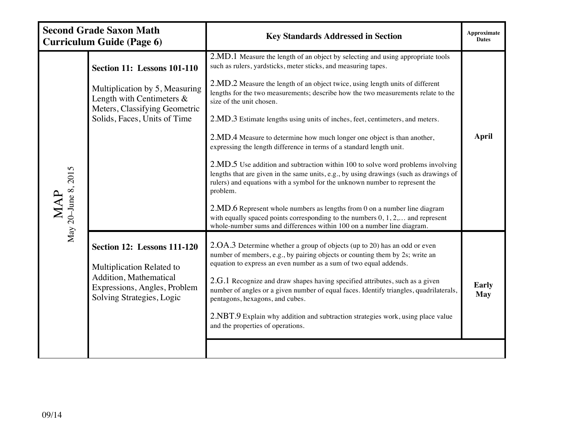|                            | <b>Second Grade Saxon Math</b><br><b>Curriculum Guide (Page 6)</b>                                                                                                    | <b>Key Standards Addressed in Section</b>                                                                                                                                                                                                                                                                                                                                                                                                                                                                                                                                                                                                                                                                                                                                                                                                                                                                                                                                                                                                                                                                           | <b>Approximate</b><br><b>Dates</b> |
|----------------------------|-----------------------------------------------------------------------------------------------------------------------------------------------------------------------|---------------------------------------------------------------------------------------------------------------------------------------------------------------------------------------------------------------------------------------------------------------------------------------------------------------------------------------------------------------------------------------------------------------------------------------------------------------------------------------------------------------------------------------------------------------------------------------------------------------------------------------------------------------------------------------------------------------------------------------------------------------------------------------------------------------------------------------------------------------------------------------------------------------------------------------------------------------------------------------------------------------------------------------------------------------------------------------------------------------------|------------------------------------|
| May 20-June 8, 2015<br>MAP | <b>Section 11: Lessons 101-110</b><br>Multiplication by 5, Measuring<br>Length with Centimeters $\&$<br>Meters, Classifying Geometric<br>Solids, Faces, Units of Time | 2.MD.1 Measure the length of an object by selecting and using appropriate tools<br>such as rulers, yardsticks, meter sticks, and measuring tapes.<br>2.MD.2 Measure the length of an object twice, using length units of different<br>lengths for the two measurements; describe how the two measurements relate to the<br>size of the unit chosen.<br>2.MD.3 Estimate lengths using units of inches, feet, centimeters, and meters.<br>2.MD.4 Measure to determine how much longer one object is than another,<br>expressing the length difference in terms of a standard length unit.<br>2.MD.5 Use addition and subtraction within 100 to solve word problems involving<br>lengths that are given in the same units, e.g., by using drawings (such as drawings of<br>rulers) and equations with a symbol for the unknown number to represent the<br>problem.<br>$2.MD.6$ Represent whole numbers as lengths from 0 on a number line diagram<br>with equally spaced points corresponding to the numbers $0, 1, 2, \ldots$ and represent<br>whole-number sums and differences within 100 on a number line diagram. | <b>April</b>                       |
|                            | <b>Section 12: Lessons 111-120</b><br>Multiplication Related to<br>Addition, Mathematical<br>Expressions, Angles, Problem<br>Solving Strategies, Logic                | 2.OA.3 Determine whether a group of objects (up to 20) has an odd or even<br>number of members, e.g., by pairing objects or counting them by 2s; write an<br>equation to express an even number as a sum of two equal addends.<br>$2.G.1$ Recognize and draw shapes having specified attributes, such as a given<br>number of angles or a given number of equal faces. Identify triangles, quadrilaterals,<br>pentagons, hexagons, and cubes.<br>2.NBT.9 Explain why addition and subtraction strategies work, using place value<br>and the properties of operations.                                                                                                                                                                                                                                                                                                                                                                                                                                                                                                                                               | <b>Early</b><br><b>May</b>         |
|                            |                                                                                                                                                                       |                                                                                                                                                                                                                                                                                                                                                                                                                                                                                                                                                                                                                                                                                                                                                                                                                                                                                                                                                                                                                                                                                                                     |                                    |